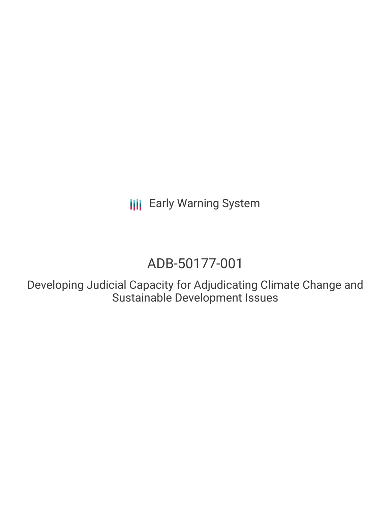**III** Early Warning System

# ADB-50177-001

Developing Judicial Capacity for Adjudicating Climate Change and Sustainable Development Issues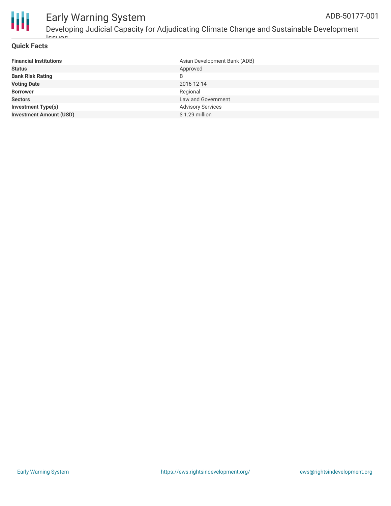

#### Early Warning System Developing Judicial Capacity for Adjudicating Climate Change and Sustainable Development ADB-50177-001

### **Quick Facts**

Issues

| <b>Financial Institutions</b>  | Asian Development Bank (ADB) |
|--------------------------------|------------------------------|
| <b>Status</b>                  | Approved                     |
| <b>Bank Risk Rating</b>        | B                            |
| <b>Voting Date</b>             | 2016-12-14                   |
| <b>Borrower</b>                | Regional                     |
| <b>Sectors</b>                 | Law and Government           |
| <b>Investment Type(s)</b>      | <b>Advisory Services</b>     |
| <b>Investment Amount (USD)</b> | $$1.29$ million              |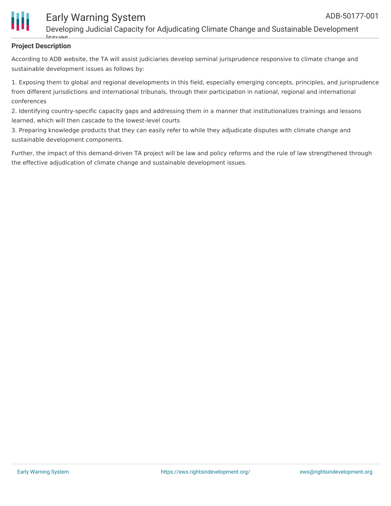

# Early Warning System

Developing Judicial Capacity for Adjudicating Climate Change and Sustainable Development

#### **Project Description** Issues

According to ADB website, the TA will assist judiciaries develop seminal jurisprudence responsive to climate change and sustainable development issues as follows by:

1. Exposing them to global and regional developments in this field, especially emerging concepts, principles, and jurisprudence from different jurisdictions and international tribunals, through their participation in national, regional and international conferences

2. Identifying country-specific capacity gaps and addressing them in a manner that institutionalizes trainings and lessons learned, which will then cascade to the lowest-level courts

3. Preparing knowledge products that they can easily refer to while they adjudicate disputes with climate change and sustainable development components.

Further, the impact of this demand-driven TA project will be law and policy reforms and the rule of law strengthened through the effective adjudication of climate change and sustainable development issues.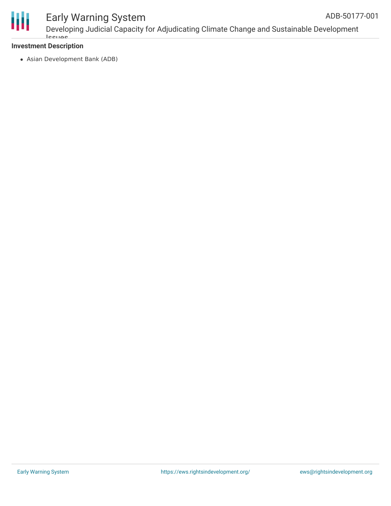

# Early Warning System

Developing Judicial Capacity for Adjudicating Climate Change and Sustainable Development Issues ADB-50177-001

### **Investment Description**

Asian Development Bank (ADB)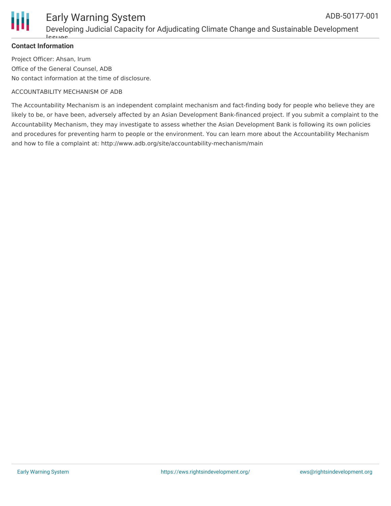

# Early Warning System ADB-50177-001

## **Contact Information**

Project Officer: Ahsan, Irum Office of the General Counsel, ADB No contact information at the time of disclosure.

#### ACCOUNTABILITY MECHANISM OF ADB

The Accountability Mechanism is an independent complaint mechanism and fact-finding body for people who believe they are likely to be, or have been, adversely affected by an Asian Development Bank-financed project. If you submit a complaint to the Accountability Mechanism, they may investigate to assess whether the Asian Development Bank is following its own policies and procedures for preventing harm to people or the environment. You can learn more about the Accountability Mechanism and how to file a complaint at: http://www.adb.org/site/accountability-mechanism/main